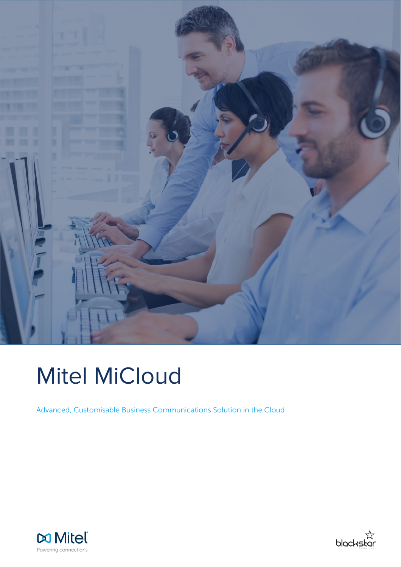

# Mitel MiCloud

Advanced, Customisable Business Communications Solution in the Cloud



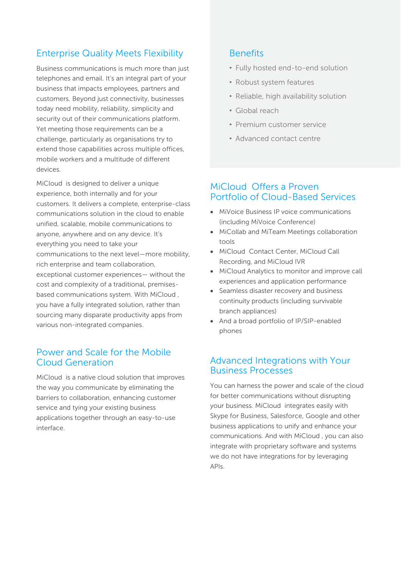## Enterprise Quality Meets Flexibility

Business communications is much more than just telephones and email. It's an integral part of your business that impacts employees, partners and customers. Beyond just connectivity, businesses today need mobility, reliability, simplicity and security out of their communications platform. Yet meeting those requirements can be a challenge, particularly as organisations try to extend those capabilities across multiple offices, mobile workers and a multitude of different devices.

MiCloud is designed to deliver a unique experience, both internally and for your customers. It delivers a complete, enterprise-class communications solution in the cloud to enable unified, scalable, mobile communications to anyone, anywhere and on any device. It's everything you need to take your communications to the next level—more mobility, rich enterprise and team collaboration, exceptional customer experiences— without the cost and complexity of a traditional, premisesbased communications system. With MiCloud , you have a fully integrated solution, rather than sourcing many disparate productivity apps from various non-integrated companies.

## Power and Scale for the Mobile Cloud Generation

MiCloud is a native cloud solution that improves the way you communicate by eliminating the barriers to collaboration, enhancing customer service and tying your existing business applications together through an easy-to-use interface.

## Benefits

- Fully hosted end-to-end solution
- Robust system features
- Reliable, high availability solution
- Global reach
- Premium customer service
- Advanced contact centre

## MiCloud Offers a Proven Portfolio of Cloud-Based Services

- MiVoice Business IP voice communications (including MiVoice Conference)
- MiCollab and MiTeam Meetings collaboration tools
- MiCloud Contact Center, MiCloud Call Recording, and MiCloud IVR
- MiCloud Analytics to monitor and improve call experiences and application performance
- Seamless disaster recovery and business continuity products (including survivable branch appliances)
- And a broad portfolio of IP/SIP-enabled phones

## Advanced Integrations with Your Business Processes

You can harness the power and scale of the cloud for better communications without disrupting your business. MiCloud integrates easily with Skype for Business, Salesforce, Google and other business applications to unify and enhance your communications. And with MiCloud , you can also integrate with proprietary software and systems we do not have integrations for by leveraging APIs.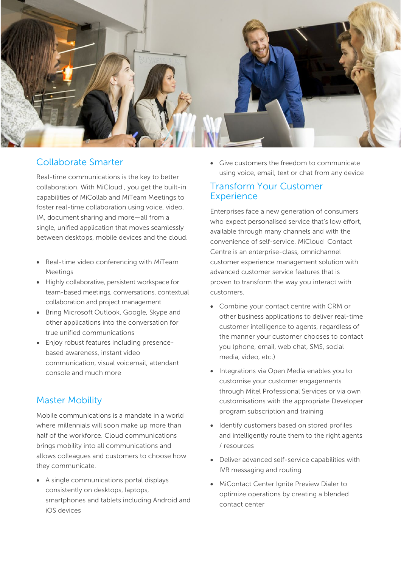

## Collaborate Smarter

Real-time communications is the key to better collaboration. With MiCloud , you get the built-in capabilities of MiCollab and MiTeam Meetings to foster real-time collaboration using voice, video, IM, document sharing and more—all from a single, unified application that moves seamlessly between desktops, mobile devices and the cloud.

- Real-time video conferencing with MiTeam Meetings
- Highly collaborative, persistent workspace for team-based meetings, conversations, contextual collaboration and project management
- Bring Microsoft Outlook, Google, Skype and other applications into the conversation for true unified communications
- Enjoy robust features including presencebased awareness, instant video communication, visual voicemail, attendant console and much more

## Master Mobility

Mobile communications is a mandate in a world where millennials will soon make up more than half of the workforce. Cloud communications brings mobility into all communications and allows colleagues and customers to choose how they communicate.

• A single communications portal displays consistently on desktops, laptops, smartphones and tablets including Android and iOS devices

• Give customers the freedom to communicate using voice, email, text or chat from any device

## Transform Your Customer **Experience**

Enterprises face a new generation of consumers who expect personalised service that's low effort, available through many channels and with the convenience of self-service. MiCloud Contact Centre is an enterprise-class, omnichannel customer experience management solution with advanced customer service features that is proven to transform the way you interact with customers.

- Combine your contact centre with CRM or other business applications to deliver real-time customer intelligence to agents, regardless of the manner your customer chooses to contact you (phone, email, web chat, SMS, social media, video, etc.)
- Integrations via Open Media enables you to customise your customer engagements through Mitel Professional Services or via own customisations with the appropriate Developer program subscription and training
- Identify customers based on stored profiles and intelligently route them to the right agents / resources
- Deliver advanced self-service capabilities with IVR messaging and routing
- MiContact Center Ignite Preview Dialer to optimize operations by creating a blended contact center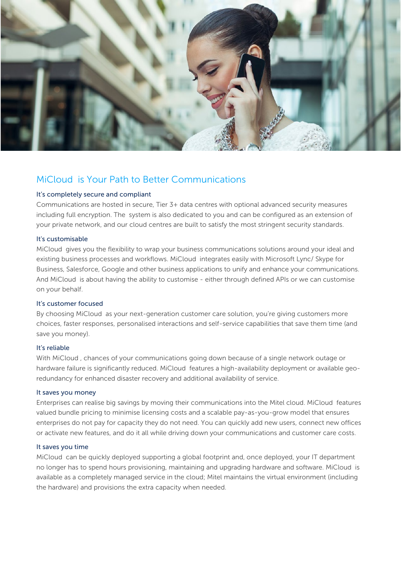

## MiCloud is Your Path to Better Communications

### It's completely secure and compliant

Communications are hosted in secure, Tier 3+ data centres with optional advanced security measures including full encryption. The system is also dedicated to you and can be configured as an extension of your private network, and our cloud centres are built to satisfy the most stringent security standards.

#### It's customisable

MiCloud gives you the flexibility to wrap your business communications solutions around your ideal and existing business processes and workflows. MiCloud integrates easily with Microsoft Lync/ Skype for Business, Salesforce, Google and other business applications to unify and enhance your communications. And MiCloud is about having the ability to customise - either through defined APIs or we can customise on your behalf.

#### It's customer focused

By choosing MiCloud as your next-generation customer care solution, you're giving customers more choices, faster responses, personalised interactions and self-service capabilities that save them time (and save you money).

#### It's reliable

With MiCloud , chances of your communications going down because of a single network outage or hardware failure is significantly reduced. MiCloud features a high-availability deployment or available georedundancy for enhanced disaster recovery and additional availability of service.

#### It saves you money

Enterprises can realise big savings by moving their communications into the Mitel cloud. MiCloud features valued bundle pricing to minimise licensing costs and a scalable pay-as-you-grow model that ensures enterprises do not pay for capacity they do not need. You can quickly add new users, connect new offices or activate new features, and do it all while driving down your communications and customer care costs.

#### It saves you time

MiCloud can be quickly deployed supporting a global footprint and, once deployed, your IT department no longer has to spend hours provisioning, maintaining and upgrading hardware and software. MiCloud is available as a completely managed service in the cloud; Mitel maintains the virtual environment (including the hardware) and provisions the extra capacity when needed.